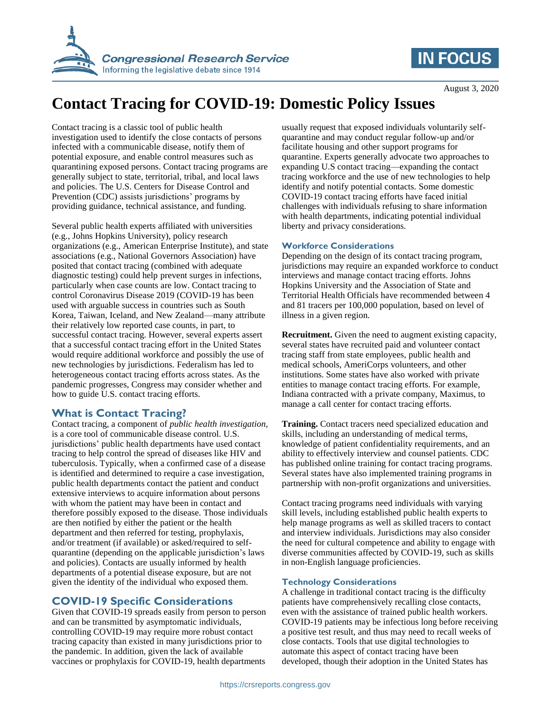

# **IN FOCUS**

# **Contact Tracing for COVID-19: Domestic Policy Issues**

Contact tracing is a classic tool of public health investigation used to identify the close contacts of persons infected with a communicable disease, notify them of potential exposure, and enable control measures such as quarantining exposed persons. Contact tracing programs are generally subject to state, territorial, tribal, and local laws and policies. The U.S. Centers for Disease Control and Prevention (CDC) assists jurisdictions' programs by providing guidance, technical assistance, and funding.

Several public health experts affiliated with universities (e.g., Johns Hopkins University), policy research organizations (e.g., American Enterprise Institute), and state associations (e.g., National Governors Association) have posited that contact tracing (combined with adequate diagnostic testing) could help prevent surges in infections, particularly when case counts are low. Contact tracing to control Coronavirus Disease 2019 (COVID-19 has been used with arguable success in countries such as South Korea, Taiwan, Iceland, and New Zealand—many attribute their relatively low reported case counts, in part, to successful contact tracing. However, several experts assert that a successful contact tracing effort in the United States would require additional workforce and possibly the use of new technologies by jurisdictions. Federalism has led to heterogeneous contact tracing efforts across states. As the pandemic progresses, Congress may consider whether and how to guide U.S. contact tracing efforts.

### **What is Contact Tracing?**

Contact tracing, a component of *public health investigation,*  is a core tool of communicable disease control. U.S. jurisdictions' public health departments have used contact tracing to help control the spread of diseases like HIV and tuberculosis. Typically, when a confirmed case of a disease is identified and determined to require a case investigation, public health departments contact the patient and conduct extensive interviews to acquire information about persons with whom the patient may have been in contact and therefore possibly exposed to the disease. Those individuals are then notified by either the patient or the health department and then referred for testing, prophylaxis, and/or treatment (if available) or asked/required to selfquarantine (depending on the applicable jurisdiction's laws and policies). Contacts are usually informed by health departments of a potential disease exposure, but are not given the identity of the individual who exposed them.

### **COVID-19 Specific Considerations**

Given that COVID-19 spreads easily from person to person and can be transmitted by asymptomatic individuals, controlling COVID-19 may require more robust contact tracing capacity than existed in many jurisdictions prior to the pandemic. In addition, given the lack of available vaccines or prophylaxis for COVID-19, health departments

usually request that exposed individuals voluntarily selfquarantine and may conduct regular follow-up and/or facilitate housing and other support programs for quarantine. Experts generally advocate two approaches to expanding U.S contact tracing—expanding the contact tracing workforce and the use of new technologies to help identify and notify potential contacts. Some domestic COVID-19 contact tracing efforts have faced initial challenges with individuals refusing to share information with health departments, indicating potential individual liberty and privacy considerations.

#### **Workforce Considerations**

Depending on the design of its contact tracing program, jurisdictions may require an expanded workforce to conduct interviews and manage contact tracing efforts. Johns Hopkins University and the Association of State and Territorial Health Officials have recommended between 4 and 81 tracers per 100,000 population, based on level of illness in a given region.

**Recruitment.** Given the need to augment existing capacity, several states have recruited paid and volunteer contact tracing staff from state employees, public health and medical schools, AmeriCorps volunteers, and other institutions. Some states have also worked with private entities to manage contact tracing efforts. For example, Indiana contracted with a private company, Maximus, to manage a call center for contact tracing efforts.

**Training.** Contact tracers need specialized education and skills, including an understanding of medical terms, knowledge of patient confidentiality requirements, and an ability to effectively interview and counsel patients. CDC has published online training for contact tracing programs. Several states have also implemented training programs in partnership with non-profit organizations and universities.

Contact tracing programs need individuals with varying skill levels, including established public health experts to help manage programs as well as skilled tracers to contact and interview individuals. Jurisdictions may also consider the need for cultural competence and ability to engage with diverse communities affected by COVID-19, such as skills in non-English language proficiencies.

#### **Technology Considerations**

A challenge in traditional contact tracing is the difficulty patients have comprehensively recalling close contacts, even with the assistance of trained public health workers. COVID-19 patients may be infectious long before receiving a positive test result, and thus may need to recall weeks of close contacts. Tools that use digital technologies to automate this aspect of contact tracing have been developed, though their adoption in the United States has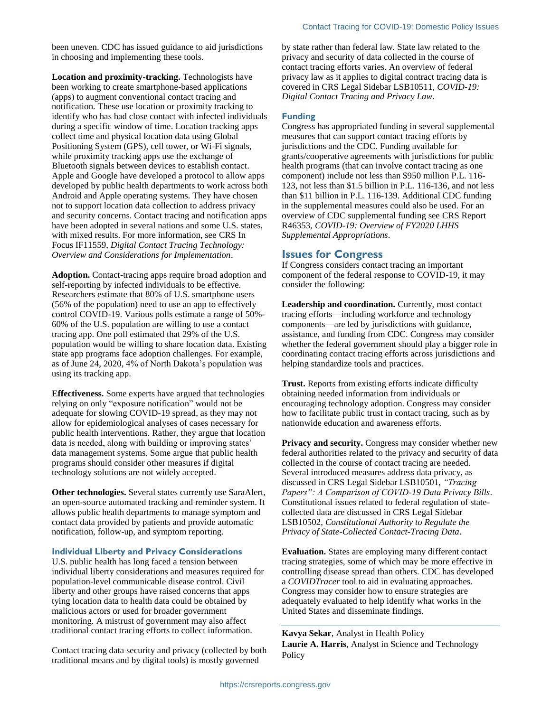been uneven. CDC has issued guidance to aid jurisdictions in choosing and implementing these tools.

**Location and proximity-tracking.** Technologists have been working to create smartphone-based applications (apps) to augment conventional contact tracing and notification. These use location or proximity tracking to identify who has had close contact with infected individuals during a specific window of time. Location tracking apps collect time and physical location data using Global Positioning System (GPS), cell tower, or Wi-Fi signals, while proximity tracking apps use the exchange of Bluetooth signals between devices to establish contact. Apple and Google have developed a protocol to allow apps developed by public health departments to work across both Android and Apple operating systems. They have chosen not to support location data collection to address privacy and security concerns. Contact tracing and notification apps have been adopted in several nations and some U.S. states, with mixed results. For more information, see CRS In Focus IF11559, *Digital Contact Tracing Technology: Overview and Considerations for Implementation*.

**Adoption.** Contact-tracing apps require broad adoption and self-reporting by infected individuals to be effective. Researchers estimate that 80% of U.S. smartphone users (56% of the population) need to use an app to effectively control COVID-19. Various polls estimate a range of 50%- 60% of the U.S. population are willing to use a contact tracing app. One poll estimated that 29% of the U.S. population would be willing to share location data. Existing state app programs face adoption challenges. For example, as of June 24, 2020, 4% of North Dakota's population was using its tracking app.

**Effectiveness.** Some experts have argued that technologies relying on only "exposure notification" would not be adequate for slowing COVID-19 spread, as they may not allow for epidemiological analyses of cases necessary for public health interventions. Rather, they argue that location data is needed, along with building or improving states' data management systems. Some argue that public health programs should consider other measures if digital technology solutions are not widely accepted.

**Other technologies.** Several states currently use SaraAlert, an open-source automated tracking and reminder system. It allows public health departments to manage symptom and contact data provided by patients and provide automatic notification, follow-up, and symptom reporting.

**Individual Liberty and Privacy Considerations**

U.S. public health has long faced a tension between individual liberty considerations and measures required for population-level communicable disease control. Civil liberty and other groups have raised concerns that apps tying location data to health data could be obtained by malicious actors or used for broader government monitoring. A mistrust of government may also affect traditional contact tracing efforts to collect information.

Contact tracing data security and privacy (collected by both traditional means and by digital tools) is mostly governed

by state rather than federal law. State law related to the privacy and security of data collected in the course of contact tracing efforts varies. An overview of federal privacy law as it applies to digital contract tracing data is covered in CRS Legal Sidebar LSB10511, *COVID-19: Digital Contact Tracing and Privacy Law*.

#### **Funding**

Congress has appropriated funding in several supplemental measures that can support contact tracing efforts by jurisdictions and the CDC. Funding available for grants/cooperative agreements with jurisdictions for public health programs (that can involve contact tracing as one component) include not less than \$950 million P.L. 116- 123, not less than \$1.5 billion in P.L. 116-136, and not less than \$11 billion in P.L. 116-139. Additional CDC funding in the supplemental measures could also be used. For an overview of CDC supplemental funding see CRS Report R46353, *COVID-19: Overview of FY2020 LHHS Supplemental Appropriations*.

#### **Issues for Congress**

If Congress considers contact tracing an important component of the federal response to COVID-19, it may consider the following:

**Leadership and coordination.** Currently, most contact tracing efforts—including workforce and technology components—are led by jurisdictions with guidance, assistance, and funding from CDC. Congress may consider whether the federal government should play a bigger role in coordinating contact tracing efforts across jurisdictions and helping standardize tools and practices.

**Trust.** Reports from existing efforts indicate difficulty obtaining needed information from individuals or encouraging technology adoption. Congress may consider how to facilitate public trust in contact tracing, such as by nationwide education and awareness efforts.

**Privacy and security.** Congress may consider whether new federal authorities related to the privacy and security of data collected in the course of contact tracing are needed. Several introduced measures address data privacy, as discussed in CRS Legal Sidebar LSB10501, *"Tracing Papers": A Comparison of COVID-19 Data Privacy Bills*. Constitutional issues related to federal regulation of statecollected data are discussed in CRS Legal Sidebar LSB10502, *Constitutional Authority to Regulate the Privacy of State-Collected Contact-Tracing Data*.

**Evaluation.** States are employing many different contact tracing strategies, some of which may be more effective in controlling disease spread than others. CDC has developed a *COVIDTracer* tool to aid in evaluating approaches. Congress may consider how to ensure strategies are adequately evaluated to help identify what works in the United States and disseminate findings.

**Kavya Sekar**, Analyst in Health Policy **Laurie A. Harris**, Analyst in Science and Technology **Policy**